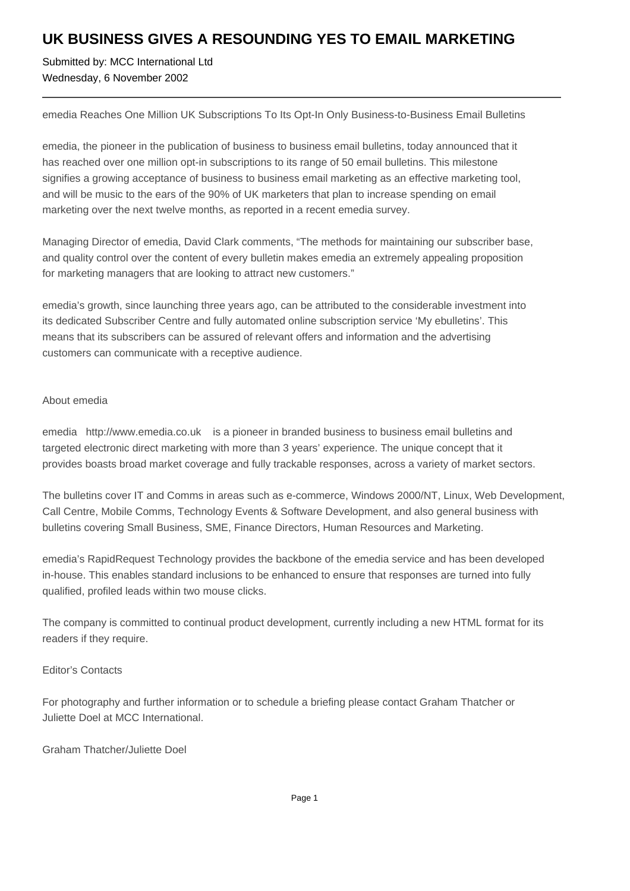## **UK BUSINESS GIVES A RESOUNDING YES TO EMAIL MARKETING**

Submitted by: MCC International Ltd Wednesday, 6 November 2002

emedia Reaches One Million UK Subscriptions To Its Opt-In Only Business-to-Business Email Bulletins

emedia, the pioneer in the publication of business to business email bulletins, today announced that it has reached over one million opt-in subscriptions to its range of 50 email bulletins. This milestone signifies a growing acceptance of business to business email marketing as an effective marketing tool, and will be music to the ears of the 90% of UK marketers that plan to increase spending on email marketing over the next twelve months, as reported in a recent emedia survey.

Managing Director of emedia, David Clark comments, "The methods for maintaining our subscriber base, and quality control over the content of every bulletin makes emedia an extremely appealing proposition for marketing managers that are looking to attract new customers."

emedia's growth, since launching three years ago, can be attributed to the considerable investment into its dedicated Subscriber Centre and fully automated online subscription service 'My ebulletins'. This means that its subscribers can be assured of relevant offers and information and the advertising customers can communicate with a receptive audience.

#### About emedia

emedia http://www.emedia.co.uk is a pioneer in branded business to business email bulletins and targeted electronic direct marketing with more than 3 years' experience. The unique concept that it provides boasts broad market coverage and fully trackable responses, across a variety of market sectors.

The bulletins cover IT and Comms in areas such as e-commerce, Windows 2000/NT, Linux, Web Development, Call Centre, Mobile Comms, Technology Events & Software Development, and also general business with bulletins covering Small Business, SME, Finance Directors, Human Resources and Marketing.

emedia's RapidRequest Technology provides the backbone of the emedia service and has been developed in-house. This enables standard inclusions to be enhanced to ensure that responses are turned into fully qualified, profiled leads within two mouse clicks.

The company is committed to continual product development, currently including a new HTML format for its readers if they require.

### Editor's Contacts

For photography and further information or to schedule a briefing please contact Graham Thatcher or Juliette Doel at MCC International.

### Graham Thatcher/Juliette Doel